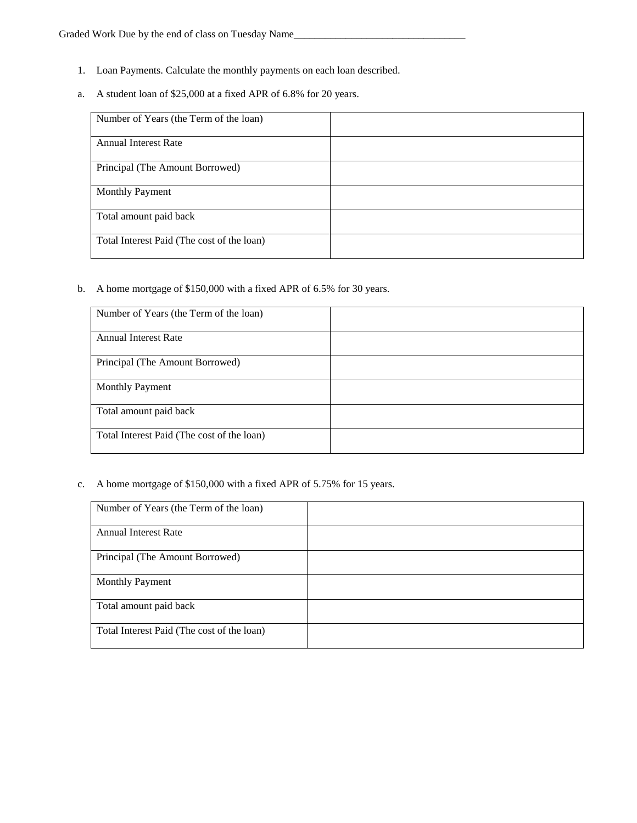- 1. Loan Payments. Calculate the monthly payments on each loan described.
- a. A student loan of \$25,000 at a fixed APR of 6.8% for 20 years.

| Number of Years (the Term of the loan)     |  |
|--------------------------------------------|--|
| <b>Annual Interest Rate</b>                |  |
| Principal (The Amount Borrowed)            |  |
| <b>Monthly Payment</b>                     |  |
| Total amount paid back                     |  |
| Total Interest Paid (The cost of the loan) |  |

b. A home mortgage of \$150,000 with a fixed APR of 6.5% for 30 years.

| Number of Years (the Term of the loan)     |  |
|--------------------------------------------|--|
| <b>Annual Interest Rate</b>                |  |
| Principal (The Amount Borrowed)            |  |
| <b>Monthly Payment</b>                     |  |
| Total amount paid back                     |  |
| Total Interest Paid (The cost of the loan) |  |

c. A home mortgage of \$150,000 with a fixed APR of 5.75% for 15 years.

| Number of Years (the Term of the loan)     |  |
|--------------------------------------------|--|
| <b>Annual Interest Rate</b>                |  |
| Principal (The Amount Borrowed)            |  |
| <b>Monthly Payment</b>                     |  |
| Total amount paid back                     |  |
| Total Interest Paid (The cost of the loan) |  |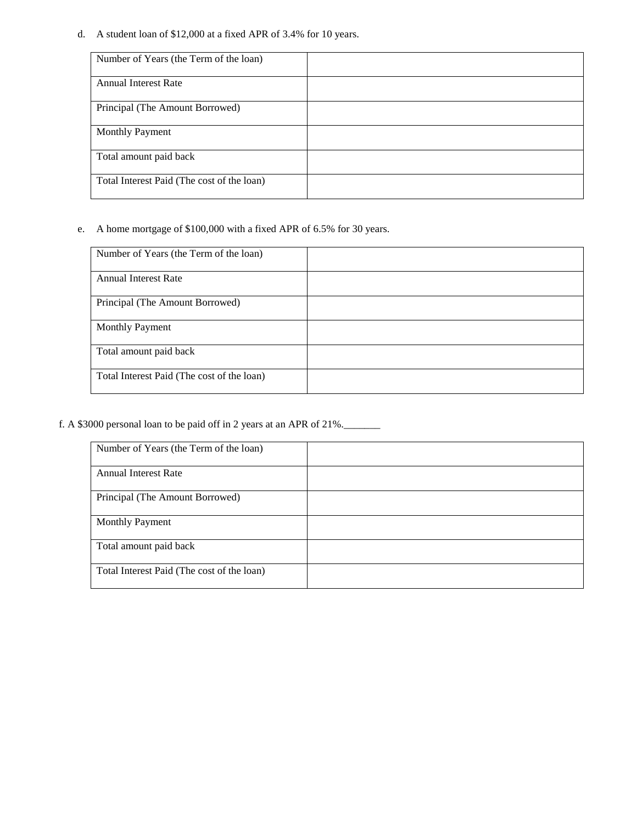## d. A student loan of \$12,000 at a fixed APR of 3.4% for 10 years.

| Number of Years (the Term of the loan)     |  |
|--------------------------------------------|--|
| <b>Annual Interest Rate</b>                |  |
|                                            |  |
| Principal (The Amount Borrowed)            |  |
| <b>Monthly Payment</b>                     |  |
|                                            |  |
| Total amount paid back                     |  |
| Total Interest Paid (The cost of the loan) |  |
|                                            |  |

## e. A home mortgage of \$100,000 with a fixed APR of 6.5% for 30 years.

| Number of Years (the Term of the loan)     |  |
|--------------------------------------------|--|
| <b>Annual Interest Rate</b>                |  |
| Principal (The Amount Borrowed)            |  |
| <b>Monthly Payment</b>                     |  |
| Total amount paid back                     |  |
| Total Interest Paid (The cost of the loan) |  |

f. A \$3000 personal loan to be paid off in 2 years at an APR of 21%.\_\_\_\_\_\_\_

| Number of Years (the Term of the loan)     |  |
|--------------------------------------------|--|
| <b>Annual Interest Rate</b>                |  |
| Principal (The Amount Borrowed)            |  |
| <b>Monthly Payment</b>                     |  |
| Total amount paid back                     |  |
| Total Interest Paid (The cost of the loan) |  |